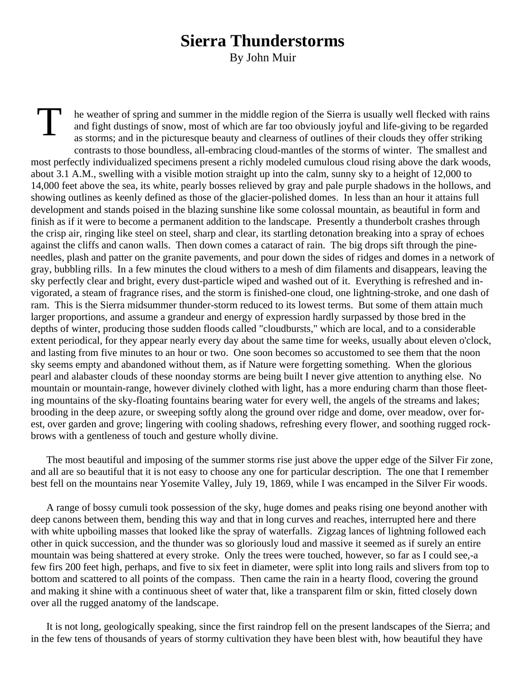## **Sierra Thunderstorms**

By John Muir

T he weather of spring and summer in the middle region of the Sierra is usually well flecked with rains and fight dustings of snow, most of which are far too obviously joyful and life-giving to be regarded as storms; and in the picturesque beauty and clearness of outlines of their clouds they offer striking contrasts to those boundless, all-embracing cloud-mantles of the storms of winter. The smallest and most perfectly individualized specimens present a richly modeled cumulous cloud rising above the dark woods, about 3.1 A.M., swelling with a visible motion straight up into the calm, sunny sky to a height of 12,000 to 14,000 feet above the sea, its white, pearly bosses relieved by gray and pale purple shadows in the hollows, and showing outlines as keenly defined as those of the glacier-polished domes. In less than an hour it attains full development and stands poised in the blazing sunshine like some colossal mountain, as beautiful in form and finish as if it were to become a permanent addition to the landscape. Presently a thunderbolt crashes through the crisp air, ringing like steel on steel, sharp and clear, its startling detonation breaking into a spray of echoes against the cliffs and canon walls. Then down comes a cataract of rain. The big drops sift through the pineneedles, plash and patter on the granite pavements, and pour down the sides of ridges and domes in a network of gray, bubbling rills. In a few minutes the cloud withers to a mesh of dim filaments and disappears, leaving the sky perfectly clear and bright, every dust-particle wiped and washed out of it. Everything is refreshed and invigorated, a steam of fragrance rises, and the storm is finished-one cloud, one lightning-stroke, and one dash of ram. This is the Sierra midsummer thunder-storm reduced to its lowest terms. But some of them attain much larger proportions, and assume a grandeur and energy of expression hardly surpassed by those bred in the depths of winter, producing those sudden floods called "cloudbursts," which are local, and to a considerable extent periodical, for they appear nearly every day about the same time for weeks, usually about eleven o'clock, and lasting from five minutes to an hour or two. One soon becomes so accustomed to see them that the noon sky seems empty and abandoned without them, as if Nature were forgetting something. When the glorious pearl and alabaster clouds of these noonday storms are being built I never give attention to anything else. No mountain or mountain-range, however divinely clothed with light, has a more enduring charm than those fleeting mountains of the sky-floating fountains bearing water for every well, the angels of the streams and lakes; brooding in the deep azure, or sweeping softly along the ground over ridge and dome, over meadow, over forest, over garden and grove; lingering with cooling shadows, refreshing every flower, and soothing rugged rockbrows with a gentleness of touch and gesture wholly divine.

The most beautiful and imposing of the summer storms rise just above the upper edge of the Silver Fir zone, and all are so beautiful that it is not easy to choose any one for particular description. The one that I remember best fell on the mountains near Yosemite Valley, July 19, 1869, while I was encamped in the Silver Fir woods.

A range of bossy cumuli took possession of the sky, huge domes and peaks rising one beyond another with deep canons between them, bending this way and that in long curves and reaches, interrupted here and there with white upboiling masses that looked like the spray of waterfalls. Zigzag lances of lightning followed each other in quick succession, and the thunder was so gloriously loud and massive it seemed as if surely an entire mountain was being shattered at every stroke. Only the trees were touched, however, so far as I could see,-a few firs 200 feet high, perhaps, and five to six feet in diameter, were split into long rails and slivers from top to bottom and scattered to all points of the compass. Then came the rain in a hearty flood, covering the ground and making it shine with a continuous sheet of water that, like a transparent film or skin, fitted closely down over all the rugged anatomy of the landscape.

It is not long, geologically speaking, since the first raindrop fell on the present landscapes of the Sierra; and in the few tens of thousands of years of stormy cultivation they have been blest with, how beautiful they have